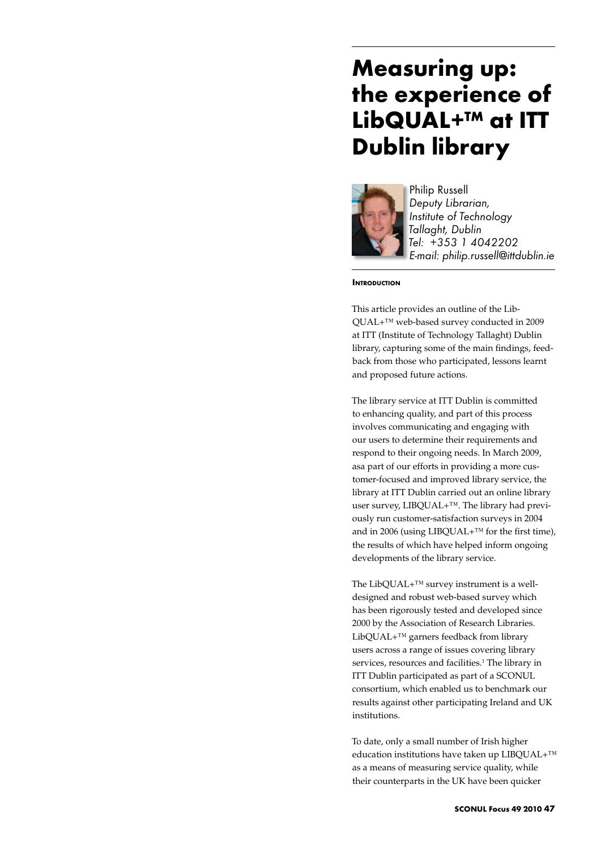# **Measuring up: the experience of LibQUAL+™ at ITT Dublin library**



Philip Russell *Deputy Librarian, Institute of Technology Tallaght, Dublin Tel: +353 1 4042202 E-mail: philip.russell@ittdublin.ie*

# **INTRODUCTION**

This article provides an outline of the Lib-QUAL+™ web-based survey conducted in 2009 at ITT (Institute of Technology Tallaght) Dublin library, capturing some of the main findings, feedback from those who participated, lessons learnt and proposed future actions.

The library service at ITT Dublin is committed to enhancing quality, and part of this process involves communicating and engaging with our users to determine their requirements and respond to their ongoing needs. In March 2009, asa part of our efforts in providing a more customer-focused and improved library service, the library at ITT Dublin carried out an online library user survey, LIBQUAL+™. The library had previously run customer-satisfaction surveys in 2004 and in 2006 (using LIBQUAL+ $TM$  for the first time), the results of which have helped inform ongoing developments of the library service.

The LibQUAL+<sup>™</sup> survey instrument is a welldesigned and robust web-based survey which has been rigorously tested and developed since 2000 by the Association of Research Libraries. LibQUAL+™ garners feedback from library users across a range of issues covering library services, resources and facilities.<sup>1</sup> The library in ITT Dublin participated as part of a SCONUL consortium, which enabled us to benchmark our results against other participating Ireland and UK institutions.

To date, only a small number of Irish higher education institutions have taken up LIBQUAL+™ as a means of measuring service quality, while their counterparts in the UK have been quicker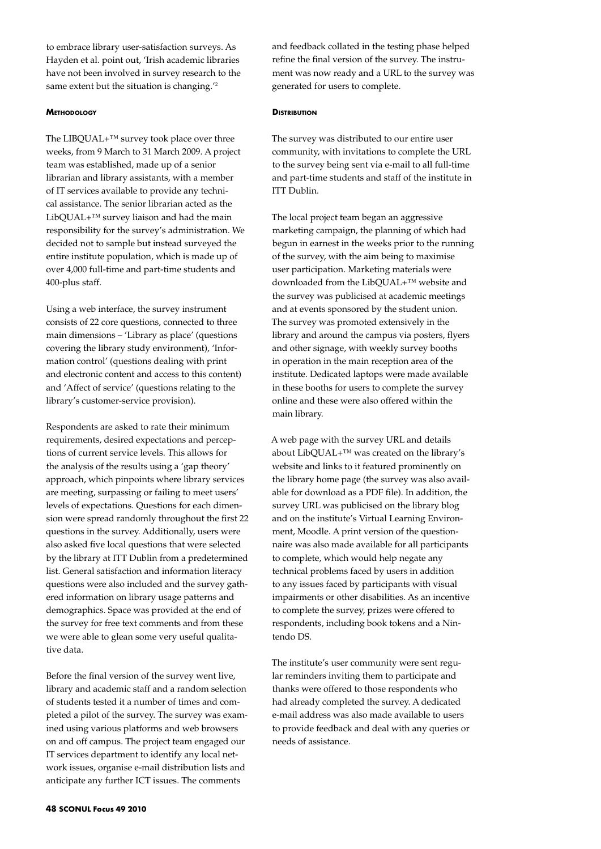to embrace library user-satisfaction surveys. As Hayden et al. point out, 'Irish academic libraries have not been involved in survey research to the same extent but the situation is changing.<sup>'2</sup>

## **Methodology**

The LIBQUAL+™ survey took place over three weeks, from 9 March to 31 March 2009. A project team was established, made up of a senior librarian and library assistants, with a member of IT services available to provide any technical assistance. The senior librarian acted as the LibQUAL+™ survey liaison and had the main responsibility for the survey's administration. We decided not to sample but instead surveyed the entire institute population, which is made up of over 4,000 full-time and part-time students and 400-plus staff.

Using a web interface, the survey instrument consists of 22 core questions, connected to three main dimensions – 'Library as place' (questions covering the library study environment), 'Information control' (questions dealing with print and electronic content and access to this content) and 'Affect of service' (questions relating to the library's customer-service provision).

Respondents are asked to rate their minimum requirements, desired expectations and perceptions of current service levels. This allows for the analysis of the results using a 'gap theory' approach, which pinpoints where library services are meeting, surpassing or failing to meet users' levels of expectations. Questions for each dimension were spread randomly throughout the first 22 questions in the survey. Additionally, users were also asked five local questions that were selected by the library at ITT Dublin from a predetermined list. General satisfaction and information literacy questions were also included and the survey gathered information on library usage patterns and demographics. Space was provided at the end of the survey for free text comments and from these we were able to glean some very useful qualitative data.

Before the final version of the survey went live, library and academic staff and a random selection of students tested it a number of times and completed a pilot of the survey. The survey was examined using various platforms and web browsers on and off campus. The project team engaged our IT services department to identify any local network issues, organise e-mail distribution lists and anticipate any further ICT issues. The comments

and feedback collated in the testing phase helped refine the final version of the survey. The instrument was now ready and a URL to the survey was generated for users to complete.

## **DISTRIBUTION**

The survey was distributed to our entire user community, with invitations to complete the URL to the survey being sent via e-mail to all full-time and part-time students and staff of the institute in ITT Dublin.

The local project team began an aggressive marketing campaign, the planning of which had begun in earnest in the weeks prior to the running of the survey, with the aim being to maximise user participation. Marketing materials were downloaded from the LibQUAL+™ website and the survey was publicised at academic meetings and at events sponsored by the student union. The survey was promoted extensively in the library and around the campus via posters, flyers and other signage, with weekly survey booths in operation in the main reception area of the institute. Dedicated laptops were made available in these booths for users to complete the survey online and these were also offered within the main library.

A web page with the survey URL and details about LibQUAL+™ was created on the library's website and links to it featured prominently on the library home page (the survey was also available for download as a PDF file). In addition, the survey URL was publicised on the library blog and on the institute's Virtual Learning Environment, Moodle. A print version of the questionnaire was also made available for all participants to complete, which would help negate any technical problems faced by users in addition to any issues faced by participants with visual impairments or other disabilities. As an incentive to complete the survey, prizes were offered to respondents, including book tokens and a Nintendo DS.

The institute's user community were sent regular reminders inviting them to participate and thanks were offered to those respondents who had already completed the survey. A dedicated e-mail address was also made available to users to provide feedback and deal with any queries or needs of assistance.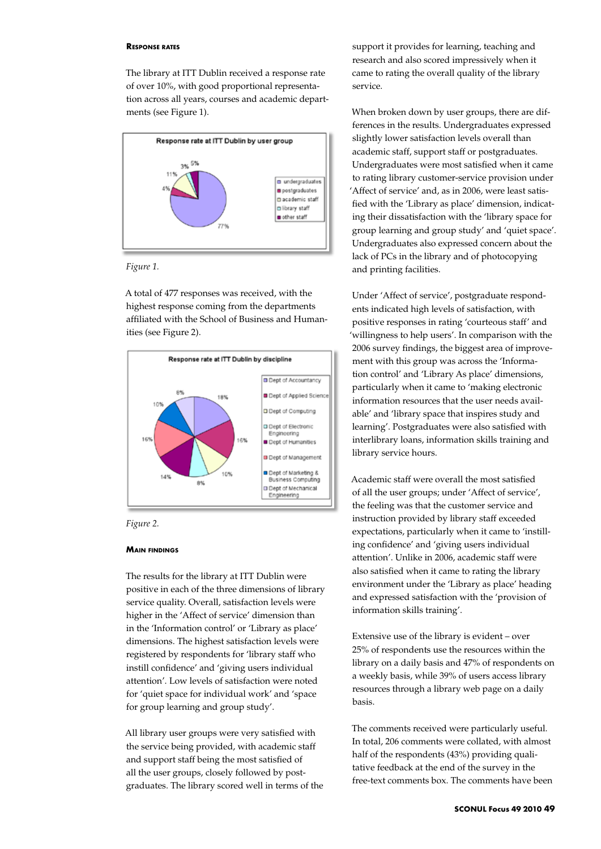#### **Response rates**

The library at ITT Dublin received a response rate of over 10%, with good proportional representation across all years, courses and academic departments (see Figure 1).



*Figure 1.*

A total of 477 responses was received, with the highest response coming from the departments affiliated with the School of Business and Humanities (see Figure 2).





## **Main findings**

The results for the library at ITT Dublin were positive in each of the three dimensions of library service quality. Overall, satisfaction levels were higher in the 'Affect of service' dimension than in the 'Information control' or 'Library as place' dimensions. The highest satisfaction levels were registered by respondents for 'library staff who instill confidence' and 'giving users individual attention'. Low levels of satisfaction were noted for 'quiet space for individual work' and 'space for group learning and group study'.

All library user groups were very satisfied with the service being provided, with academic staff and support staff being the most satisfied of all the user groups, closely followed by postgraduates. The library scored well in terms of the

support it provides for learning, teaching and research and also scored impressively when it came to rating the overall quality of the library service.

When broken down by user groups, there are differences in the results. Undergraduates expressed slightly lower satisfaction levels overall than academic staff, support staff or postgraduates. Undergraduates were most satisfied when it came to rating library customer-service provision under 'Affect of service' and, as in 2006, were least satisfied with the 'Library as place' dimension, indicating their dissatisfaction with the 'library space for group learning and group study' and 'quiet space'. Undergraduates also expressed concern about the lack of PCs in the library and of photocopying and printing facilities.

Under 'Affect of service', postgraduate respondents indicated high levels of satisfaction, with positive responses in rating 'courteous staff' and 'willingness to help users'. In comparison with the 2006 survey findings, the biggest area of improvement with this group was across the 'Information control' and 'Library As place' dimensions, particularly when it came to 'making electronic information resources that the user needs available' and 'library space that inspires study and learning'. Postgraduates were also satisfied with interlibrary loans, information skills training and library service hours.

Academic staff were overall the most satisfied of all the user groups; under 'Affect of service', the feeling was that the customer service and instruction provided by library staff exceeded expectations, particularly when it came to 'instilling confidence' and 'giving users individual attention'. Unlike in 2006, academic staff were also satisfied when it came to rating the library environment under the 'Library as place' heading and expressed satisfaction with the 'provision of information skills training'.

Extensive use of the library is evident – over 25% of respondents use the resources within the library on a daily basis and 47% of respondents on a weekly basis, while 39% of users access library resources through a library web page on a daily basis.

The comments received were particularly useful. In total, 206 comments were collated, with almost half of the respondents (43%) providing qualitative feedback at the end of the survey in the free-text comments box. The comments have been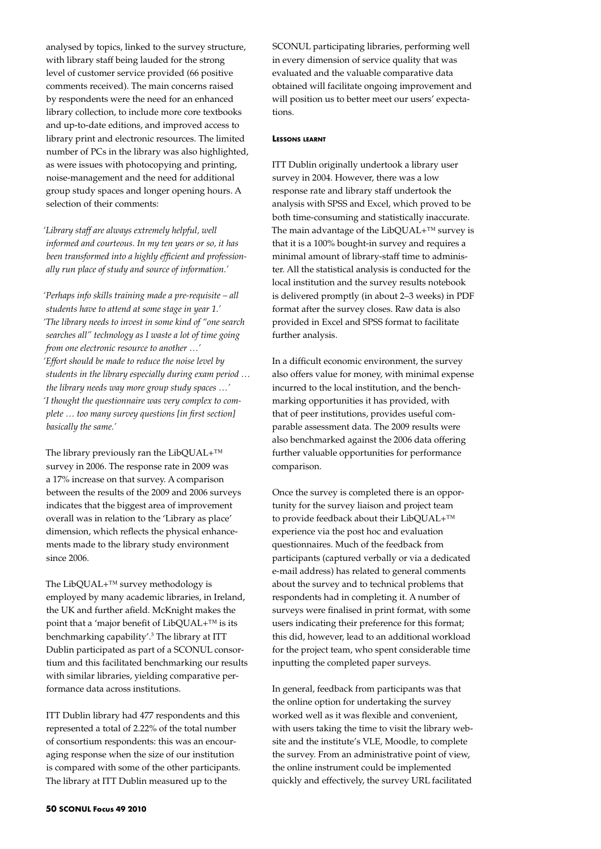analysed by topics, linked to the survey structure, with library staff being lauded for the strong level of customer service provided (66 positive comments received). The main concerns raised by respondents were the need for an enhanced library collection, to include more core textbooks and up-to-date editions, and improved access to library print and electronic resources. The limited number of PCs in the library was also highlighted, as were issues with photocopying and printing, noise-management and the need for additional group study spaces and longer opening hours. A selection of their comments:

*'Library staff are always extremely helpful, well informed and courteous. In my ten years or so, it has been transformed into a highly efficient and professionally run place of study and source of information.'*

*'Perhaps info skills training made a pre-requisite – all students have to attend at some stage in year 1.' 'The library needs to invest in some kind of "one search searches all" technology as I waste a lot of time going from one electronic resource to another …' 'Effort should be made to reduce the noise level by students in the library especially during exam period … the library needs way more group study spaces …' 'I thought the questionnaire was very complex to complete … too many survey questions [in first section] basically the same.'*

The library previously ran the LibQUAL+™ survey in 2006. The response rate in 2009 was a 17% increase on that survey. A comparison between the results of the 2009 and 2006 surveys indicates that the biggest area of improvement overall was in relation to the 'Library as place' dimension, which reflects the physical enhancements made to the library study environment since 2006.

The LibQUAL+™ survey methodology is employed by many academic libraries, in Ireland, the UK and further afield. McKnight makes the point that a 'major benefit of LibQUAL+™ is its benchmarking capability'.3 The library at ITT Dublin participated as part of a SCONUL consortium and this facilitated benchmarking our results with similar libraries, yielding comparative performance data across institutions.

ITT Dublin library had 477 respondents and this represented a total of 2.22% of the total number of consortium respondents: this was an encouraging response when the size of our institution is compared with some of the other participants. The library at ITT Dublin measured up to the

SCONUL participating libraries, performing well in every dimension of service quality that was evaluated and the valuable comparative data obtained will facilitate ongoing improvement and will position us to better meet our users' expectations.

## **Lessons learnt**

ITT Dublin originally undertook a library user survey in 2004. However, there was a low response rate and library staff undertook the analysis with SPSS and Excel, which proved to be both time-consuming and statistically inaccurate. The main advantage of the LibQUAL+<sup>™</sup> survey is that it is a 100% bought-in survey and requires a minimal amount of library-staff time to administer. All the statistical analysis is conducted for the local institution and the survey results notebook is delivered promptly (in about 2–3 weeks) in PDF format after the survey closes. Raw data is also provided in Excel and SPSS format to facilitate further analysis.

In a difficult economic environment, the survey also offers value for money, with minimal expense incurred to the local institution, and the benchmarking opportunities it has provided, with that of peer institutions, provides useful comparable assessment data. The 2009 results were also benchmarked against the 2006 data offering further valuable opportunities for performance comparison.

Once the survey is completed there is an opportunity for the survey liaison and project team to provide feedback about their LibQUAL+™ experience via the post hoc and evaluation questionnaires. Much of the feedback from participants (captured verbally or via a dedicated e-mail address) has related to general comments about the survey and to technical problems that respondents had in completing it. A number of surveys were finalised in print format, with some users indicating their preference for this format; this did, however, lead to an additional workload for the project team, who spent considerable time inputting the completed paper surveys.

In general, feedback from participants was that the online option for undertaking the survey worked well as it was flexible and convenient, with users taking the time to visit the library website and the institute's VLE, Moodle, to complete the survey. From an administrative point of view, the online instrument could be implemented quickly and effectively, the survey URL facilitated